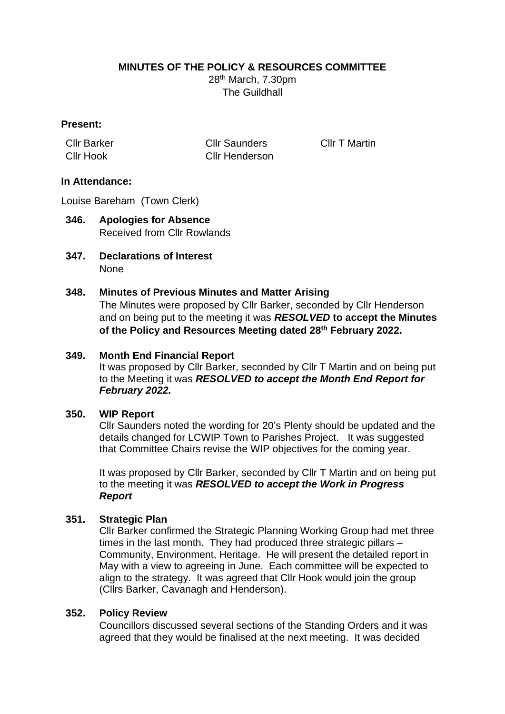# **MINUTES OF THE POLICY & RESOURCES COMMITTEE**

28th March, 7.30pm The Guildhall

### **Present:**

Cllr Barker Cllr Saunders Cllr T Martin Cllr Hook Cllr Henderson

# **In Attendance:**

Louise Bareham (Town Clerk)

- **346. Apologies for Absence** Received from Cllr Rowlands
- **347. Declarations of Interest** None

### **348. Minutes of Previous Minutes and Matter Arising**

The Minutes were proposed by Cllr Barker, seconded by Cllr Henderson and on being put to the meeting it was *RESOLVED* **to accept the Minutes of the Policy and Resources Meeting dated 28th February 2022.**

#### **349. Month End Financial Report**

It was proposed by Cllr Barker, seconded by Cllr T Martin and on being put to the Meeting it was *RESOLVED to accept the Month End Report for February 2022.* 

#### **350. WIP Report**

Cllr Saunders noted the wording for 20's Plenty should be updated and the details changed for LCWIP Town to Parishes Project. It was suggested that Committee Chairs revise the WIP objectives for the coming year.

It was proposed by Cllr Barker, seconded by Cllr T Martin and on being put to the meeting it was *RESOLVED to accept the Work in Progress Report*

# **351. Strategic Plan**

Cllr Barker confirmed the Strategic Planning Working Group had met three times in the last month. They had produced three strategic pillars – Community, Environment, Heritage. He will present the detailed report in May with a view to agreeing in June. Each committee will be expected to align to the strategy. It was agreed that Cllr Hook would join the group (Cllrs Barker, Cavanagh and Henderson).

#### **352. Policy Review**

Councillors discussed several sections of the Standing Orders and it was agreed that they would be finalised at the next meeting. It was decided